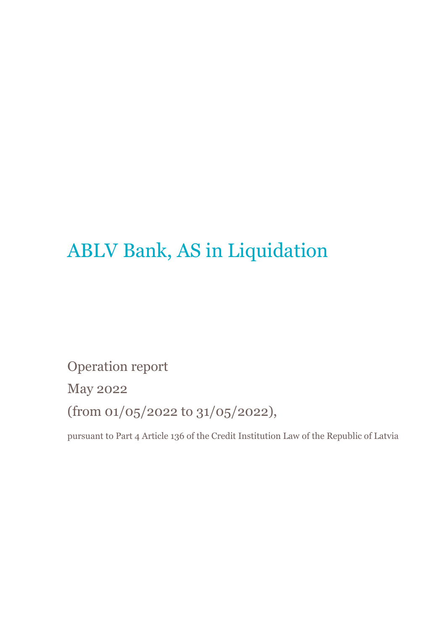# ABLV Bank, AS in Liquidation

Operation report

May 2022

(from 01/05/2022 to 31/05/2022),

pursuant to Part 4 Article 136 of the Credit Institution Law of the Republic of Latvia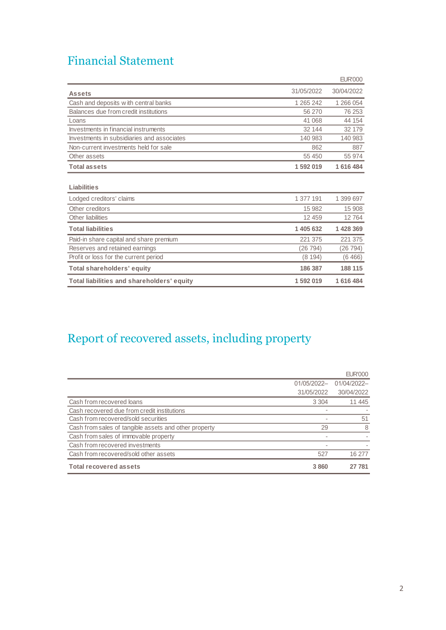### Financial Statement

|                                            |            | <b>EUR'000</b> |
|--------------------------------------------|------------|----------------|
| <b>Assets</b>                              | 31/05/2022 | 30/04/2022     |
| Cash and deposits with central banks       | 1 265 242  | 1 266 054      |
| Balances due from credit institutions      | 56 270     | 76 253         |
| Loans                                      | 41 068     | 44 154         |
| Investments in financial instruments       | 32 144     | 32 179         |
| Investments in subsidiaries and associates | 140 983    | 140 983        |
| Non-current investments held for sale      | 862        | 887            |
| Other assets                               | 55 450     | 55 974         |
| <b>Total assets</b>                        | 1592019    | 1 616 484      |
| Liabilities                                |            |                |
| Lodged creditors' claims                   | 1 377 191  | 1 399 697      |
| Other creditors                            | 15 982     | 15 908         |
| Other liabilities                          | 12 459     | 12764          |
| <b>Total liabilities</b>                   | 1 405 632  | 1 428 369      |
| Paid-in share capital and share premium    | 221 375    | 221 375        |
| Reserves and retained earnings             | (26 794)   | (26 794)       |
| Profit or loss for the current period      | (8194)     | (6466)         |
| <b>Total shareholders' equity</b>          | 186 387    | 188 115        |
| Total liabilities and shareholders' equity | 1 592 019  | 1616484        |

## Report of recovered assets, including property

|                                                       |                | <b>EUR'000</b> |
|-------------------------------------------------------|----------------|----------------|
|                                                       | 01/05/2022-    | 01/04/2022-    |
|                                                       | 31/05/2022     | 30/04/2022     |
| Cash from recovered loans                             | 3 3 0 4        | 11 445         |
| Cash recovered due from credit institutions           |                |                |
| Cash from recovered/sold securities                   |                | 51             |
| Cash from sales of tangible assets and other property | 29             | 8              |
| Cash from sales of immovable property                 | $\blacksquare$ |                |
| Cash from recovered investments                       |                |                |
| Cash from recovered/sold other assets                 | 527            | 16 277         |
| <b>Total recovered assets</b>                         | 3860           | 27 781         |